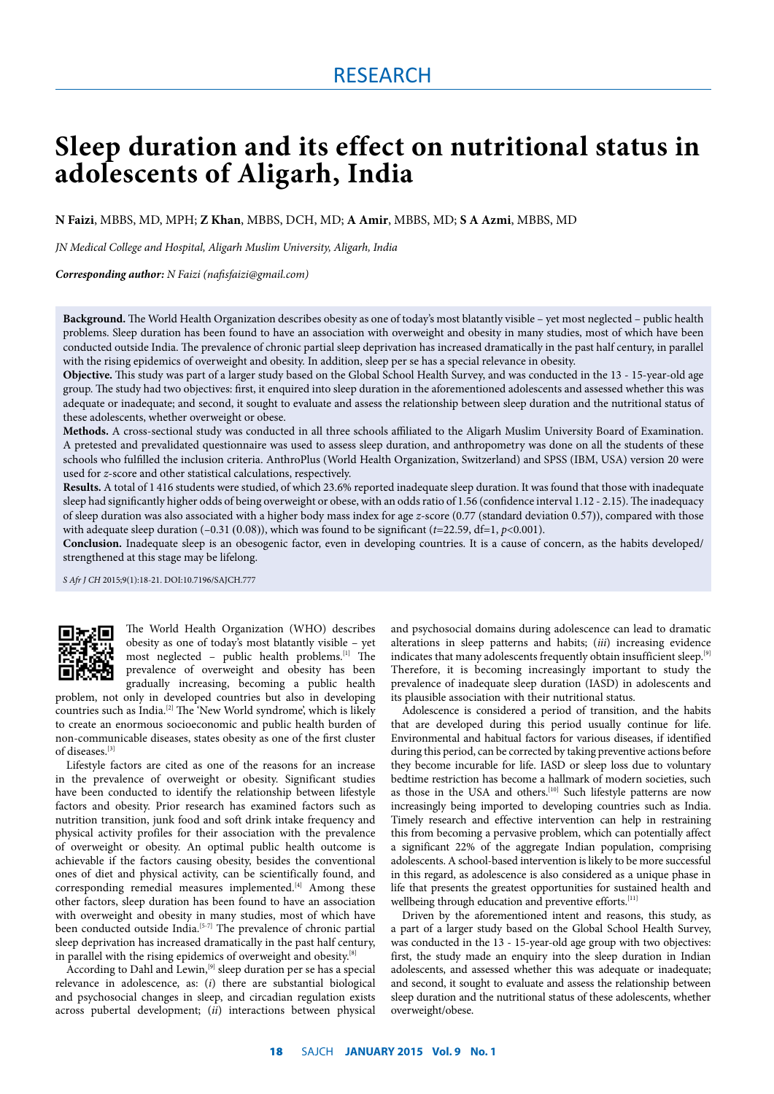# **Sleep duration and its effect on nutritional status in adolescents of Aligarh, India**

**N Faizi**, MBBS, MD, MPH; **Z Khan**, MBBS, DCH, MD; **A Amir**, MBBS, MD; **S A Azmi**, MBBS, MD

*JN Medical College and Hospital, Aligarh Muslim University, Aligarh, India*

*Corresponding author: N Faizi (nafisfaizi@gmail.com)*

**Background.** The World Health Organization describes obesity as one of today's most blatantly visible – yet most neglected – public health problems. Sleep duration has been found to have an association with overweight and obesity in many studies, most of which have been conducted outside India. The prevalence of chronic partial sleep deprivation has increased dramatically in the past half century, in parallel with the rising epidemics of overweight and obesity. In addition, sleep per se has a special relevance in obesity.

**Objective.** This study was part of a larger study based on the Global School Health Survey, and was conducted in the 13 - 15-year-old age group. The study had two objectives: first, it enquired into sleep duration in the aforementioned adolescents and assessed whether this was adequate or inadequate; and second, it sought to evaluate and assess the relationship between sleep duration and the nutritional status of these adolescents, whether overweight or obese.

**Methods.** A cross-sectional study was conducted in all three schools affiliated to the Aligarh Muslim University Board of Examination. A pretested and prevalidated questionnaire was used to assess sleep duration, and anthropometry was done on all the students of these schools who fulfilled the inclusion criteria. AnthroPlus (World Health Organization, Switzerland) and SPSS (IBM, USA) version 20 were used for *z*-score and other statistical calculations, respectively.

**Results.** A total of 1 416 students were studied, of which 23.6% reported inadequate sleep duration. It was found that those with inadequate sleep had significantly higher odds of being overweight or obese, with an odds ratio of 1.56 (confidence interval 1.12 - 2.15). The inadequacy of sleep duration was also associated with a higher body mass index for age *z*-score (0.77 (standard deviation 0.57)), compared with those with adequate sleep duration (–0.31 (0.08)), which was found to be significant (*t*=22.59, df=1, *p*<0.001).

**Conclusion.** Inadequate sleep is an obesogenic factor, even in developing countries. It is a cause of concern, as the habits developed/ strengthened at this stage may be lifelong.

*S Afr J CH* 2015;9(1):18-21. DOI:10.7196/SAJCH.777



The World Health Organization (WHO) describes obesity as one of today's most blatantly visible – yet most neglected – public health problems.[1] The prevalence of overweight and obesity has been gradually increasing, becoming a public health

problem, not only in developed countries but also in developing countries such as India.[2] The 'New World syndrome', which is likely to create an enormous socioeconomic and public health burden of non-communicable diseases, states obesity as one of the first cluster of diseases.[3]

Lifestyle factors are cited as one of the reasons for an increase in the prevalence of overweight or obesity. Significant studies have been conducted to identify the relationship between lifestyle factors and obesity. Prior research has examined factors such as nutrition transition, junk food and soft drink intake frequency and physical activity profiles for their association with the prevalence of overweight or obesity. An optimal public health outcome is achievable if the factors causing obesity, besides the conventional ones of diet and physical activity, can be scientifically found, and corresponding remedial measures implemented.<sup>[4]</sup> Among these other factors, sleep duration has been found to have an association with overweight and obesity in many studies, most of which have been conducted outside India.<sup>[5-7]</sup> The prevalence of chronic partial sleep deprivation has increased dramatically in the past half century, in parallel with the rising epidemics of overweight and obesity.<sup>[8]</sup>

According to Dahl and Lewin,<sup>[9]</sup> sleep duration per se has a special relevance in adolescence, as: (*i*) there are substantial biological and psychosocial changes in sleep, and circadian regulation exists across pubertal development; (*ii*) interactions between physical and psychosocial domains during adolescence can lead to dramatic alterations in sleep patterns and habits; (*iii*) increasing evidence indicates that many adolescents frequently obtain insufficient sleep.<sup>[9]</sup> Therefore, it is becoming increasingly important to study the prevalence of inadequate sleep duration (IASD) in adolescents and its plausible association with their nutritional status.

Adolescence is considered a period of transition, and the habits that are developed during this period usually continue for life. Environmental and habitual factors for various diseases, if identified during this period, can be corrected by taking preventive actions before they become incurable for life. IASD or sleep loss due to voluntary bedtime restriction has become a hallmark of modern societies, such as those in the USA and others.<sup>[10]</sup> Such lifestyle patterns are now increasingly being imported to developing countries such as India. Timely research and effective intervention can help in restraining this from becoming a pervasive problem, which can potentially affect a significant 22% of the aggregate Indian population, comprising adolescents. A school-based intervention is likely to be more successful in this regard, as adolescence is also considered as a unique phase in life that presents the greatest opportunities for sustained health and wellbeing through education and preventive efforts.<sup>[11]</sup>

Driven by the aforementioned intent and reasons, this study, as a part of a larger study based on the Global School Health Survey, was conducted in the 13 - 15-year-old age group with two objectives: first, the study made an enquiry into the sleep duration in Indian adolescents, and assessed whether this was adequate or inadequate; and second, it sought to evaluate and assess the relationship between sleep duration and the nutritional status of these adolescents, whether overweight/obese.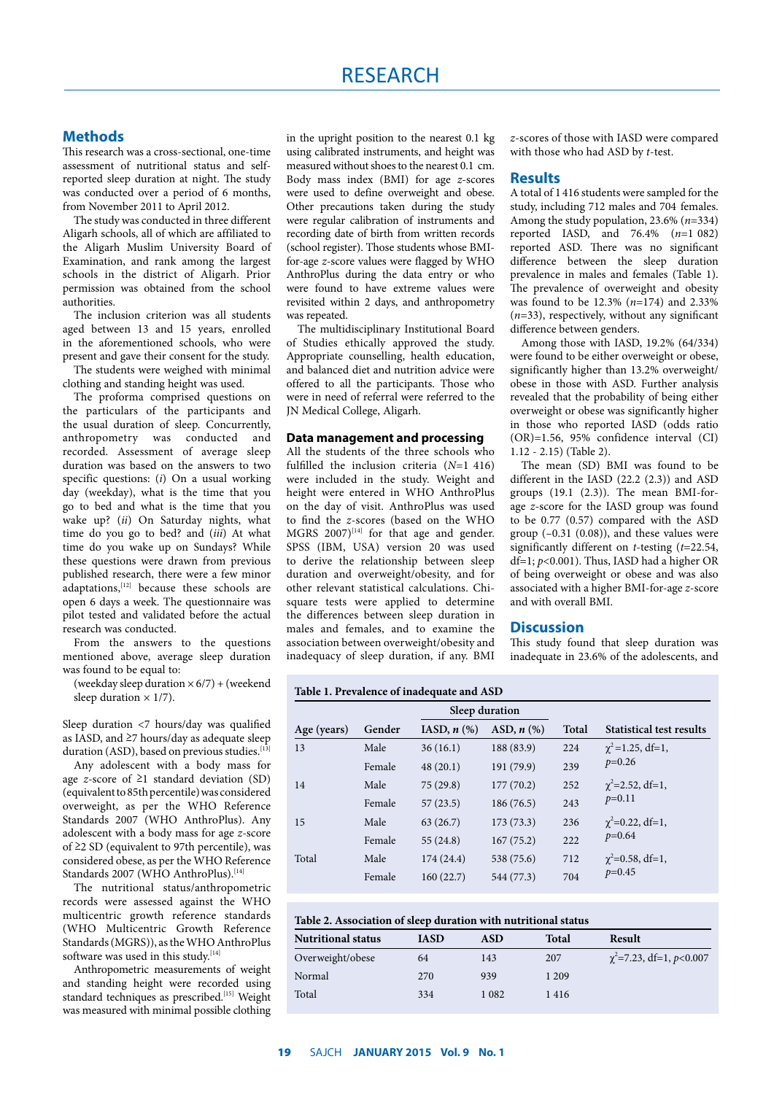### **Methods**

This research was a cross-sectional, one-time assessment of nutritional status and selfreported sleep duration at night. The study was conducted over a period of 6 months, from November 2011 to April 2012.

The study was conducted in three different Aligarh schools, all of which are affiliated to the Aligarh Muslim University Board of Examination, and rank among the largest schools in the district of Aligarh. Prior permission was obtained from the school authorities.

The inclusion criterion was all students aged between 13 and 15 years, enrolled in the aforementioned schools, who were present and gave their consent for the study.

The students were weighed with minimal clothing and standing height was used.

The proforma comprised questions on the particulars of the participants and the usual duration of sleep. Concurrently, anthropometry was conducted and recorded. Assessment of average sleep duration was based on the answers to two specific questions: (*i*) On a usual working day (weekday), what is the time that you go to bed and what is the time that you wake up? (*ii*) On Saturday nights, what time do you go to bed? and (*iii*) At what time do you wake up on Sundays? While these questions were drawn from previous published research, there were a few minor  $adaptations$ <sup>[12]</sup> because these schools are open 6 days a week. The questionnaire was pilot tested and validated before the actual research was conducted.

From the answers to the questions mentioned above, average sleep duration was found to be equal to:

(weekday sleep duration  $\times$  6/7) + (weekend sleep duration  $\times$  1/7).

Sleep duration <7 hours/day was qualified as IASD, and ≥7 hours/day as adequate sleep duration (ASD), based on previous studies. $[13]$ 

Any adolescent with a body mass for age *z*-score of ≥1 standard deviation (SD) (equivalent to 85th percentile) was considered overweight, as per the WHO Reference Standards 2007 (WHO AnthroPlus). Any adolescent with a body mass for age *z*-score of  $\geq$ 2 SD (equivalent to 97th percentile), was considered obese, as per the WHO Reference Standards 2007 (WHO AnthroPlus).<sup>[14]</sup>

The nutritional status/anthropometric records were assessed against the WHO multicentric growth reference standards (WHO Multicentric Growth Reference Standards (MGRS)), as the WHO AnthroPlus software was used in this study. $[14]$ 

Anthropometric measurements of weight and standing height were recorded using standard techniques as prescribed.<sup>[15]</sup> Weight was measured with minimal possible clothing in the upright position to the nearest 0.1 kg using calibrated instruments, and height was measured without shoes to the nearest 0.1 cm. Body mass index (BMI) for age *z*-scores were used to define overweight and obese. Other precautions taken during the study were regular calibration of instruments and recording date of birth from written records (school register). Those students whose BMIfor-age *z*-score values were flagged by WHO AnthroPlus during the data entry or who were found to have extreme values were revisited within 2 days, and anthropometry was repeated.

The multidisciplinary Institutional Board of Studies ethically approved the study. Appropriate counselling, health education, and balanced diet and nutrition advice were offered to all the participants. Those who were in need of referral were referred to the JN Medical College, Aligarh.

#### **Data management and processing**

All the students of the three schools who fulfilled the inclusion criteria (*N*=1 416) were included in the study. Weight and height were entered in WHO AnthroPlus on the day of visit. AnthroPlus was used to find the *z*-scores (based on the WHO MGRS  $2007$ <sup>[14]</sup> for that age and gender. SPSS (IBM, USA) version 20 was used to derive the relationship between sleep duration and overweight/obesity, and for other relevant statistical calculations. Chisquare tests were applied to determine the differences between sleep duration in males and females, and to examine the association between overweight/obesity and inadequacy of sleep duration, if any. BMI

*z*-scores of those with IASD were compared with those who had ASD by *t*-test.

#### **Results**

A total of 1 416 students were sampled for the study, including 712 males and 704 females. Among the study population, 23.6% (*n*=334) reported IASD, and 76.4% (*n*=1 082) reported ASD. There was no significant difference between the sleep duration prevalence in males and females (Table 1). The prevalence of overweight and obesity was found to be 12.3% (*n*=174) and 2.33% (*n*=33), respectively, without any significant difference between genders.

Among those with IASD, 19.2% (64/334) were found to be either overweight or obese, significantly higher than 13.2% overweight/ obese in those with ASD. Further analysis revealed that the probability of being either overweight or obese was significantly higher in those who reported IASD (odds ratio (OR)=1.56, 95% confidence interval (CI) 1.12 - 2.15) (Table 2).

The mean (SD) BMI was found to be different in the IASD (22.2 (2.3)) and ASD groups (19.1 (2.3)). The mean BMI-forage *z*-score for the IASD group was found to be 0.77 (0.57) compared with the ASD group  $(-0.31 \ (0.08))$ , and these values were significantly different on *t*-testing (*t*=22.54, df=1; *p*<0.001). Thus, IASD had a higher OR of being overweight or obese and was also associated with a higher BMI-for-age *z*-score and with overall BMI.

#### **Discussion**

This study found that sleep duration was inadequate in 23.6% of the adolescents, and

#### **Table 1. Prevalence of inadequate and ASD**

|             |        | Sleep duration   |                 |              |                                       |
|-------------|--------|------------------|-----------------|--------------|---------------------------------------|
| Age (years) | Gender | IASD, $n$ $(\%)$ | ASD, $n$ $(\%)$ | <b>Total</b> | Statistical test results              |
| 13          | Male   | 36(16.1)         | 188 (83.9)      | 224          | $\chi^2$ =1.25, df=1,<br>$p=0.26$     |
|             | Female | 48(20.1)         | 191 (79.9)      | 239          |                                       |
| 14          | Male   | 75(29.8)         | 177(70.2)       | 252          | $\gamma^2 = 2.52$ , df=1,<br>$p=0.11$ |
|             | Female | 57(23.5)         | 186(76.5)       | 243          |                                       |
| 15          | Male   | 63(26.7)         | 173(73.3)       | 236          | $\gamma^2 = 0.22$ , df=1,<br>$p=0.64$ |
|             | Female | 55(24.8)         | 167(75.2)       | 222          |                                       |
| Total       | Male   | 174(24.4)        | 538 (75.6)      | 712          | $\chi^2$ =0.58, df=1,<br>$p=0.45$     |
|             | Female | 160(22.7)        | 544 (77.3)      | 704          |                                       |

| Table 2. Association of sleep duration with nutritional status |  |  |  |
|----------------------------------------------------------------|--|--|--|
|----------------------------------------------------------------|--|--|--|

| <b>Nutritional status</b> | <b>IASD</b> | ASD  | Total   | Result                        |
|---------------------------|-------------|------|---------|-------------------------------|
| Overweight/obese          | 64          | 143  | 207     | $\chi^2$ =7.23, df=1, p<0.007 |
| Normal                    | 270         | 939  | 1 2 0 9 |                               |
| Total                     | 334         | 1082 | 1416    |                               |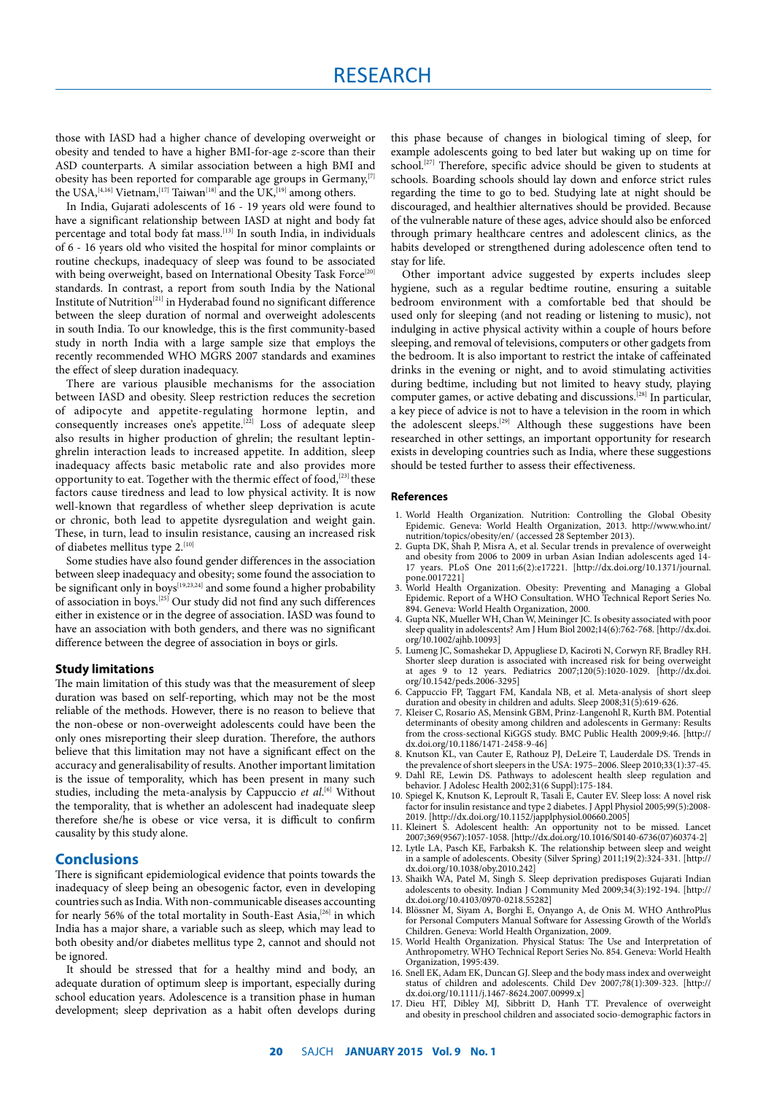those with IASD had a higher chance of developing overweight or obesity and tended to have a higher BMI-for-age *z*-score than their ASD counterparts. A similar association between a high BMI and obesity has been reported for comparable age groups in  $Germany$ <sup>[7]</sup> the USA,<sup>[4,16]</sup> Vietnam,<sup>[17]</sup> Taiwan<sup>[18]</sup> and the UK,<sup>[19]</sup> among others.

In India, Gujarati adolescents of 16 - 19 years old were found to have a significant relationship between IASD at night and body fat percentage and total body fat mass.<sup>[13]</sup> In south India, in individuals of 6 - 16 years old who visited the hospital for minor complaints or routine checkups, inadequacy of sleep was found to be associated with being overweight, based on International Obesity Task Force<sup>[20]</sup> standards. In contrast, a report from south India by the National Institute of Nutrition[21] in Hyderabad found no significant difference between the sleep duration of normal and overweight adolescents in south India. To our knowledge, this is the first community-based study in north India with a large sample size that employs the recently recommended WHO MGRS 2007 standards and examines the effect of sleep duration inadequacy.

There are various plausible mechanisms for the association between IASD and obesity. Sleep restriction reduces the secretion of adipocyte and appetite-regulating hormone leptin, and consequently increases one's appetite.<sup>[22]</sup> Loss of adequate sleep also results in higher production of ghrelin; the resultant leptinghrelin interaction leads to increased appetite. In addition, sleep inadequacy affects basic metabolic rate and also provides more opportunity to eat. Together with the thermic effect of food,<sup>[23]</sup> these factors cause tiredness and lead to low physical activity. It is now well-known that regardless of whether sleep deprivation is acute or chronic, both lead to appetite dysregulation and weight gain. These, in turn, lead to insulin resistance, causing an increased risk of diabetes mellitus type 2.<sup>[10]</sup>

Some studies have also found gender differences in the association between sleep inadequacy and obesity; some found the association to be significant only in boys[19,23,24] and some found a higher probability of association in boys.[25] Our study did not find any such differences either in existence or in the degree of association. IASD was found to have an association with both genders, and there was no significant difference between the degree of association in boys or girls.

#### **Study limitations**

The main limitation of this study was that the measurement of sleep duration was based on self-reporting, which may not be the most reliable of the methods. However, there is no reason to believe that the non-obese or non-overweight adolescents could have been the only ones misreporting their sleep duration. Therefore, the authors believe that this limitation may not have a significant effect on the accuracy and generalisability of results. Another important limitation is the issue of temporality, which has been present in many such studies, including the meta-analysis by Cappuccio *et al*.<sup>[6]</sup> Without the temporality, that is whether an adolescent had inadequate sleep therefore she/he is obese or vice versa, it is difficult to confirm causality by this study alone.

#### **Conclusions**

There is significant epidemiological evidence that points towards the inadequacy of sleep being an obesogenic factor, even in developing countries such as India. With non-communicable diseases accounting for nearly 56% of the total mortality in South-East Asia,<sup>[26]</sup> in which India has a major share, a variable such as sleep, which may lead to both obesity and/or diabetes mellitus type 2, cannot and should not be ignored.

It should be stressed that for a healthy mind and body, an adequate duration of optimum sleep is important, especially during school education years. Adolescence is a transition phase in human development; sleep deprivation as a habit often develops during

this phase because of changes in biological timing of sleep, for example adolescents going to bed later but waking up on time for school.<sup>[27]</sup> Therefore, specific advice should be given to students at schools. Boarding schools should lay down and enforce strict rules regarding the time to go to bed. Studying late at night should be discouraged, and healthier alternatives should be provided. Because of the vulnerable nature of these ages, advice should also be enforced through primary healthcare centres and adolescent clinics, as the habits developed or strengthened during adolescence often tend to stay for life.

Other important advice suggested by experts includes sleep hygiene, such as a regular bedtime routine, ensuring a suitable bedroom environment with a comfortable bed that should be used only for sleeping (and not reading or listening to music), not indulging in active physical activity within a couple of hours before sleeping, and removal of televisions, computers or other gadgets from the bedroom. It is also important to restrict the intake of caffeinated drinks in the evening or night, and to avoid stimulating activities during bedtime, including but not limited to heavy study, playing computer games, or active debating and discussions.<sup>[28]</sup> In particular, a key piece of advice is not to have a television in the room in which the adolescent sleeps.<sup>[29]</sup> Although these suggestions have been researched in other settings, an important opportunity for research exists in developing countries such as India, where these suggestions should be tested further to assess their effectiveness.

#### **References**

- 1. World Health Organization. Nutrition: Controlling the Global Obesity Epidemic. Geneva: World Health Organization, 2013. http://www.who.int/ nutrition/topics/obesity/en/ (accessed 28 September 2013).
- 2. Gupta DK, Shah P, Misra A, et al. Secular trends in prevalence of overweight and obesity from 2006 to 2009 in urban Asian Indian adolescents aged 14- 17 years. PLoS One 2011;6(2):e17221. [http://dx.doi.org/10.1371/journal. pone.0017221]
- 3. World Health Organization. Obesity: Preventing and Managing a Global Epidemic. Report of a WHO Consultation. WHO Technical Report Series No. 894. Geneva: World Health Organization, 2000.
- 4. Gupta NK, Mueller WH, Chan W, Meininger JC. Is obesity associated with poor sleep quality in adolescents? Am J Hum Biol 2002;14(6):762-768. [http://dx.doi. org/10.1002/ajhb.10093]
- 5. Lumeng JC, Somashekar D, Appugliese D, Kaciroti N, Corwyn RF, Bradley RH. Shorter sleep duration is associated with increased risk for being overweight at ages 9 to 12 years. Pediatrics 2007;120(5):1020-1029. [http://dx.doi. org/10.1542/peds.2006-3295]
- 6. Cappuccio FP, Taggart FM, Kandala NB, et al. Meta-analysis of short sleep duration and obesity in children and adults. Sleep 2008;31(5):619-626.
- 7. Kleiser C, Rosario AS, Mensink GBM, Prinz-Langenohl R, Kurth BM. Potential determinants of obesity among children and adolescents in Germany: Results from the cross-sectional KiGGS study. BMC Public Health 2009;9:46. [http:// dx.doi.org/10.1186/1471-2458-9-46]
- 8. Knutson KL, van Cauter E, Rathouz PJ, DeLeire T, Lauderdale DS. Trends in the prevalence of short sleepers in the USA: 1975–2006. Sleep 2010;33(1):37-45.
- 9. Dahl RE, Lewin DS. Pathways to adolescent health sleep regulation and behavior. J Adolesc Health 2002;31(6 Suppl):175-184.
- 10. Spiegel K, Knutson K, Leproult R, Tasali E, Cauter EV. Sleep loss: A novel risk factor for insulin resistance and type 2 diabetes. J Appl Physiol 2005;99(5):2008- 2019. [http://dx.doi.org/10.1152/japplphysiol.00660.2005]
- 11. Kleinert S. Adolescent health: An opportunity not to be missed. Lancet 2007;369(9567):1057-1058. [http://dx.doi.org/10.1016/S0140-6736(07)60374-2]
- 12. Lytle LA, Pasch KE, Farbaksh K. The relationship between sleep and weight in a sample of adolescents. Obesity (Silver Spring) 2011;19(2):324-331. [http:// dx.doi.org/10.1038/oby.2010.242]
- 13. Shaikh WA, Patel M, Singh S. Sleep deprivation predisposes Gujarati Indian adolescents to obesity. Indian J Community Med 2009;34(3):192-194. [http:// dx.doi.org/10.4103/0970-0218.55282]
- 14. Blössner M, Siyam A, Borghi E, Onyango A, de Onis M. WHO AnthroPlus for Personal Computers Manual Software for Assessing Growth of the World's Children. Geneva: World Health Organization, 2009.
- 15. World Health Organization. Physical Status: The Use and Interpretation of Anthropometry. WHO Technical Report Series No. 854. Geneva: World Health Organization, 1995:439.
- 16. Snell EK, Adam EK, Duncan GJ. Sleep and the body mass index and overweight status of children and adolescents. Child Dev 2007;78(1):309-323. [http:// dx.doi.org/10.1111/j.1467-8624.2007.00999.x]
- 17. Dieu HT, Dibley MJ, Sibbritt D, Hanh TT. Prevalence of overweight and obesity in preschool children and associated socio-demographic factors in